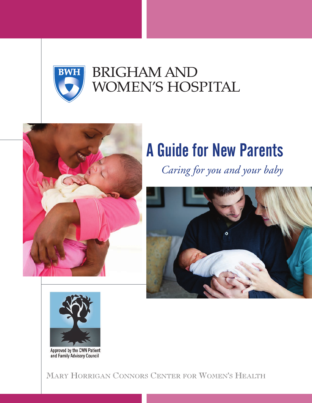

# **BRIGHAM AND** WOMEN'S HOSPITAL



# A Guide for New Parents

*Caring for you and your baby*





Approved by the CWN Patient<br>and Family Advisory Council

MARY HORRIGAN CONNORS CENTER FOR WOMEN'S HEALTH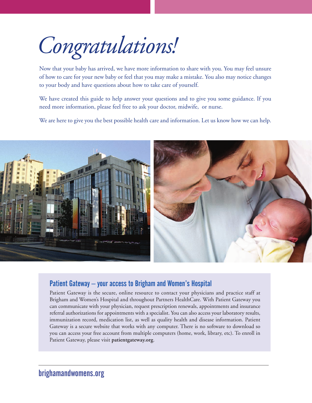*Congratulations!* 

Now that your baby has arrived, we have more information to share with you. You may feel unsure of how to care for your new baby or feel that you may make a mistake. You also may notice changes to your body and have questions about how to take care of yourself.

We have created this guide to help answer your questions and to give you some guidance. If you need more information, please feel free to ask your doctor, midwife, or nurse.

We are here to give you the best possible health care and information. Let us know how we can help.



### Patient Gateway – your access to Brigham and Women's Hospital

Patient Gateway is the secure, online resource to contact your physicians and practice staff at Brigham and Women's Hospital and throughout Partners HealthCare. With Patient Gateway you can communicate with your physician, request prescription renewals, appointments and insurance referral authorizations for appointments with a specialist. You can also access your laboratory results, immunization record, medication list, as well as quality health and disease information. Patient Gateway is a secure website that works with any computer. There is no software to download so you can access your free account from multiple computers (home, work, library, etc). To enroll in Patient Gateway, please visit **patientgateway.org**.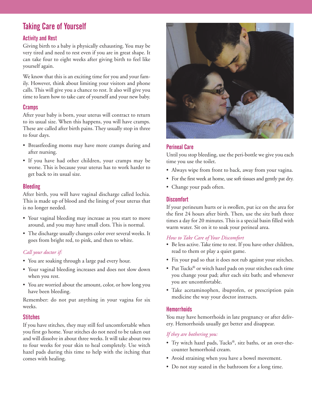# Taking Care of Yourself

#### Activity and Rest

Giving birth to a baby is physically exhausting. You may be very tired and need to rest even if you are in great shape. It can take four to eight weeks after giving birth to feel like yourself again.

We know that this is an exciting time for you and your family. However, think about limiting your visitors and phone calls. This will give you a chance to rest. It also will give you time to learn how to take care of yourself and your new baby.

#### Cramps

After your baby is born, your uterus will contract to return to its usual size. When this happens, you will have cramps. These are called after birth pains. They usually stop in three to four days.

- Breastfeeding moms may have more cramps during and after nursing.
- If you have had other children, your cramps may be worse. This is because your uterus has to work harder to get back to its usual size.

#### **Bleeding**

After birth, you will have vaginal discharge called lochia. This is made up of blood and the lining of your uterus that is no longer needed.

- Your vaginal bleeding may increase as you start to move around, and you may have small clots. This is normal.
- The discharge usually changes color over several weeks. It goes from bright red, to pink, and then to white.

#### *Call your doctor if:*

- You are soaking through a large pad every hour.
- Your vaginal bleeding increases and does not slow down when you rest.
- You are worried about the amount, color, or how long you have been bleeding.

Remember: do not put anything in your vagina for six weeks.

#### **Stitches**

If you have stitches, they may still feel uncomfortable when you first go home. Your stitches do not need to be taken out and will dissolve in about three weeks. It will take about two to four weeks for your skin to heal completely. Use witch hazel pads during this time to help with the itching that comes with healing.



#### Perineal Care

Until you stop bleeding, use the peri-bottle we give you each time you use the toilet.

- Always wipe from front to back, away from your vagina.
- For the first week at home, use soft tissues and gently pat dry.
- Change your pads often.

#### **Discomfort**

If your perineum hurts or is swollen, put ice on the area for the first 24 hours after birth. Then, use the sitz bath three times a day for 20 minutes. This is a special basin filled with warm water. Sit on it to soak your perineal area.

#### *How to Take Care of Your Discomfort*

- Be less active. Take time to rest. If you have other children, read to them or play a quiet game.
- Fix your pad so that it does not rub against your stitches.
- Put Tucks® or witch hazel pads on your stitches each time you change your pad; after each sitz bath; and whenever you are uncomfortable.
- Take acetaminophen, ibuprofen, or prescription pain medicine the way your doctor instructs.

#### **Hemorrhoids**

You may have hemorrhoids in late pregnancy or after delivery. Hemorrhoids usually get better and disappear.

#### *If they are bothering you:*

- Try witch hazel pads, Tucks®, sitz baths, or an over-thecounter hemorrhoid cream.
- Avoid straining when you have a bowel movement.
- Do not stay seated in the bathroom for a long time.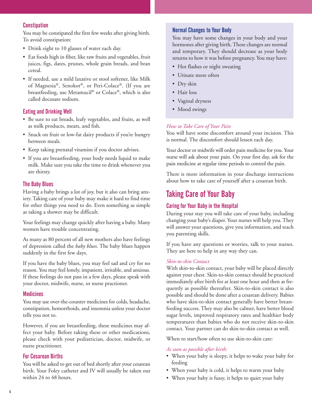#### **Constipation**

You may be constipated the first few weeks after giving birth. To avoid constipation:

- Drink eight to 10 glasses of water each day.
- Eat foods high in fiber, like raw fruits and vegetables, fruit juices, figs, dates, prunes, whole grain breads, and bran cereal.
- If needed, use a mild laxative or stool softener, like Milk of Magnesia®, Senokot®, or Peri-Colace®. (If you are breastfeeding, use Metamucil® or Colace®, which is also called docusate sodium.

#### Eating and Drinking Well

- Be sure to eat breads, leafy vegetables, and fruits, as well as milk products, meats, and fish.
- Snack on fruit or low-fat dairy products if you're hungry between meals.
- Keep taking prenatal vitamins if you doctor advises.
- If you are breastfeeding, your body needs liquid to make milk. Make sure you take the time to drink whenever you are thirsty.

#### The Baby Blues

Having a baby brings a lot of joy, but it also can bring anxiety. Taking care of your baby may make it hard to find time for other things you need to do. Even something as simple as taking a shower may be difficult.

Your feelings may change quickly after having a baby. Many women have trouble concentrating.

As many as 80 percent of all new mothers also have feelings of depression called the *baby blues*. The baby blues happen suddenly in the first few days.

If you have the baby blues, you may feel sad and cry for no reason. You may feel lonely, impatient, irritable, and anxious. If these feelings do not pass in a few days, please speak with your doctor, midwife, nurse, or nurse practioner.

#### **Medicines**

You may use over-the-counter medicines for colds, headache, constipation, hemorrhoids, and insomnia unless your doctor tells you not to.

However, if you are breastfeeding, these medicines may affect your baby. Before taking these or other medications, please check with your pediatrician, doctor, midwife, or nurse practitioner.

#### For Cesarean Births

You will be asked to get out of bed shortly after your cesarean birth. Your Foley catheter and IV will usually be taken out within 24 to 48 hours.

#### Normal Changes to Your Body

You may have some changes in your body and your hormones after giving birth. These changes are normal and temporary. They should decrease as your body returns to how it was before pregnancy. You may have:

- Hot flashes or night sweating
- Urinate more often
- Dry skin
- Hair loss
- Vaginal dryness
- Mood swings

#### *How to Take Care of Your Pain*

You will have some discomfort around your incision. This is normal. The discomfort should lessen each day.

Your doctor or midwife will order pain medicine for you. Your nurse will ask about your pain. On your first day, ask for the pain medicine at regular time periods to control the pain.

There is more information in your discharge instructions about how to take care of yourself after a cesarean birth.

## Taking Care of Your Baby

#### Caring for Your Baby in the Hospital

During your stay you will take care of your baby, including changing your baby's diaper. Your nurses will help you. They will answer your questions, give you information, and teach you parenting skills.

If you have any questions or worries, talk to your nurses. They are here to help in any way they can.

#### *Skin-to-skin Contact*

With skin-to-skin contact, your baby will be placed directly against your chest. Skin-to-skin contact should be practiced immediately after birth for at least one hour and then as frequently as possible thereafter. Skin-to-skin contact is also possible and should be done after a cesarean delivery. Babies who have skin-to-skin contact generally have better breastfeeding success. They may also be calmer, have better blood sugar levels, improved respiratory rates and healthier body temperatures than babies who do not receive skin-to-skin contact. Your partner can do skin-to-skin contact as well.

When to start/how often to use skin-to-skin care:

#### *As soon as possible after birth:*

- When your baby is sleepy, it helps to wake your baby for feeding
- When your baby is cold, it helps to warm your baby
- When your baby is fussy, it helps to quiet your baby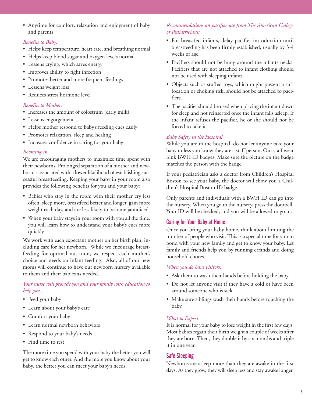• Anytime for comfort, relaxation and enjoyment of baby and parents

#### *Benefits to Baby:*

- Helps keep temperature, heart rate, and breathing normal
- Helps keep blood sugar and oxygen levels normal
- Lessens crying, which saves energy
- Improves ability to fight infection
- Promotes better and more frequent feedings
- Lessens weight loss
- Reduces stress hormone level

#### *Benefits to Mother:*

- Increases the amount of colostrum (early milk)
- Lessens engorgement
- Helps mother respond to baby's feeding cues easily
- Promotes relaxation, sleep and healing
- Increases confidence in caring for your baby

#### *Rooming-in*

We are encouraging mothers to maximize time spent with their newborns. Prolonged separation of a mother and newborn is associated with a lower likelihood of establishing successful breastfeeding. Keeping your baby in your room also provides the following benefits for you and your baby:

- Babies who stay in the room with their mother cry less often, sleep more, breastfeed better and longer, gain more weight each day, and are less likely to become jaundiced.
- When your baby stays in your room with you all the time, you will learn how to understand your baby's cues more quickly.

We work with each expectant mother on her birth plan, including care for her newborn. While we encourage breastfeeding for optimal nutrition, we respect each mother's choice and needs on infant feeding. Also, all of our new moms will continue to have our newborn nursery available to them and their babies as needed.

#### *Your nurse will provide you and your family with education to help you:*

- Feed your baby
- Learn about your baby's care
- Comfort your baby
- Learn normal newborn behaviors
- Respond to your baby's needs
- Find time to rest

The more time you spend with your baby the better you will get to know each other. And the more you know about your baby, the better you can meet your baby's needs.

#### *Recommendations on pacifier use from The American College of Pediatricians:*

- For breastfed infants, delay pacifier introduction until breastfeeding has been firmly established, usually by 3-4 weeks of age.
- Pacifiers should not be hung around the infants necks. Pacifiers that are not attached to infant clothing should not be used with sleeping infants.
- Objects such as stuffed toys, which might present a suffocation or choking risk, should not be attached to pacifiers.
- The pacifier should be used when placing the infant down for sleep and not reinserted once the infant falls asleep. If the infant refuses the pacifier, he or she should not be forced to take it.

#### *Baby Safety in the Hospital*

While you are in the hospital, do not let anyone take your baby unless you know they are a staff person. Our staff wear pink BWH ID badges. Make sure the picture on the badge matches the person with the badge.

If your pediatrician asks a doctor from Children's Hospital Boston to see your baby, the doctor will show you a Children's Hospital Boston ID badge.

Only parents and individuals with a BWH ID can go into the nursery. When you go to the nursery, press the doorbell. Your ID will be checked, and you will be allowed to go in.

#### Caring for Your Baby at Home

Once you bring your baby home, think about limiting the number of people who visit. This is a special time for you to bond with your new family and get to know your baby. Let family and friends help you by running errands and doing household chores.

#### *When you do have visitors:*

- Ask them to wash their hands before holding the baby.
- Do not let anyone visit if they have a cold or have been around someone who is sick.
- Make sure siblings wash their hands before touching the baby.

#### *What to Expect*

It is normal for your baby to lose weight in the first few days. Most babies regain their birth weight a couple of weeks after they are born. Then, they double it by six months and triple it in one year.

#### Safe Sleeping

Newborns are asleep more than they are awake in the first days. As they grow, they will sleep less and stay awake longer.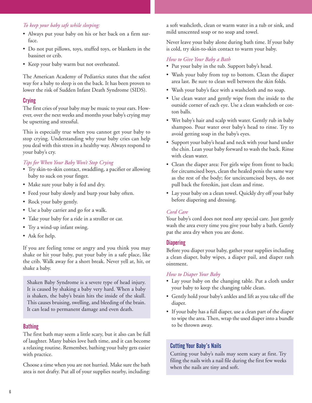#### *To keep your baby safe while sleeping:*

- Always put your baby on his or her back on a firm surface.
- Do not put pillows, toys, stuffed toys, or blankets in the bassinet or crib.
- Keep your baby warm but not overheated.

The American Academy of Pediatrics states that the safest way for a baby to sleep is on the back. It has been proven to lower the risk of Sudden Infant Death Syndrome (SIDS).

#### **Crying**

The first cries of your baby may be music to your ears. However, over the next weeks and months your baby's crying may be upsetting and stressful.

This is especially true when you cannot get your baby to stop crying. Understanding why your baby cries can help you deal with this stress in a healthy way. Always respond to your baby's cry.

#### *Tips for When Your Baby Won't Stop Crying*

- Try skin-to-skin contact, swaddling, a pacifier or allowing baby to suck on your finger.
- Make sure your baby is fed and dry.
- Feed your baby slowly and burp your baby often.
- Rock your baby gently.
- Use a baby carrier and go for a walk.
- Take your baby for a ride in a stroller or car.
- Try a wind-up infant swing.
- Ask for help.

If you are feeling tense or angry and you think you may shake or hit your baby, put your baby in a safe place, like the crib. Walk away for a short break. Never yell at, hit, or shake a baby.

Shaken Baby Syndrome is a severe type of head injury. It is caused by shaking a baby very hard. When a baby is shaken, the baby's brain hits the inside of the skull. This causes bruising, swelling, and bleeding of the brain. It can lead to permanent damage and even death.

#### **Bathing**

The first bath may seem a little scary, but it also can be full of laughter. Many babies love bath time, and it can become a relaxing routine. Remember, bathing your baby gets easier with practice.

Choose a time when you are not hurried. Make sure the bath area is not drafty. Put all of your supplies nearby, including:

a soft washcloth, clean or warm water in a tub or sink, and mild unscented soap or no soap and towel.

Never leave your baby alone during bath time. If your baby is cold, try skin-to-skin contact to warm your baby.

#### *How to Give Your Baby a Bath*

- Put your baby in the tub. Support baby's head.
- Wash your baby from top to bottom. Clean the diaper area last. Be sure to clean well between the skin folds.
- Wash your baby's face with a washcloth and no soap.
- Use clean water and gently wipe from the inside to the outside corner of each eye. Use a clean washcloth or cotton balls.
- Wet baby's hair and scalp with water. Gently rub in baby shampoo. Pour water over baby's head to rinse. Try to avoid getting soap in the baby's eyes.
- Support your baby's head and neck with your hand under the chin. Lean your baby forward to wash the back. Rinse with clean water.
- Clean the diaper area: For girls wipe from front to back; for circumcised boys, clean the healed penis the same way as the rest of the body; for uncircumcised boys, do not pull back the foreskin, just clean and rinse.
- Lay your baby on a clean towel. Quickly dry off your baby before diapering and dressing.

#### *Cord Care*

Your baby's cord does not need any special care. Just gently wash the area every time you give your baby a bath. Gently pat the area dry when you are done.

#### **Diapering**

Before you diaper your baby, gather your supplies including a clean diaper, baby wipes, a diaper pail, and diaper rash ointment.

#### *How to Diaper Your Baby*

- Lay your baby on the changing table. Put a cloth under your baby to keep the changing table clean.
- Gently hold your baby's ankles and lift as you take off the diaper.
- If your baby has a full diaper, use a clean part of the diaper to wipe the area. Then, wrap the used diaper into a bundle to be thrown away.

#### Cutting Your Baby's Nails

Cutting your baby's nails may seem scary at first. Try filing the nails with a nail file during the first few weeks when the nails are tiny and soft.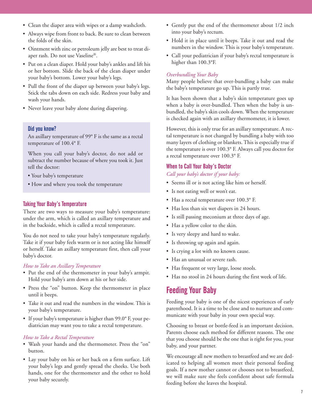- Clean the diaper area with wipes or a damp washcloth.
- Always wipe from front to back. Be sure to clean between the folds of the skin.
- Ointment with zinc or petroleum jelly are best to treat diaper rash. Do not use Vaseline®.
- Put on a clean diaper. Hold your baby's ankles and lift his or her bottom. Slide the back of the clean diaper under your baby's bottom. Lower your baby's legs.
- Pull the front of the diaper up between your baby's legs. Stick the tabs down on each side. Redress your baby and wash your hands.
- Never leave your baby alone during diapering.

#### Did you know?

An axillary temperature of 99° F is the same as a rectal temperature of 100.4° F.

When you call your baby's doctor, do not add or subtract the number because of where you took it. Just tell the doctor:

- Your baby's temperature
- How and where you took the temperature

#### Taking Your Baby's Temperature

There are two ways to measure your baby's temperature: under the arm, which is called an axillary temperature and in the backside, which is called a rectal temperature.

You do not need to take your baby's temperature regularly. Take it if your baby feels warm or is not acting like himself or herself. Take an axillary temperature first, then call your baby's doctor.

#### *How to Take an Axillary Temperature*

- Put the end of the thermometer in your baby's armpit. Hold your baby's arm down at his or her side.
- Press the "on" button. Keep the thermometer in place until it beeps.
- Take it out and read the numbers in the window. This is your baby's temperature.
- If your baby's temperature is higher than 99.0° F, your pediatrician may want you to take a rectal temperature.

#### *How to Take a Rectal Temperature*

- Wash your hands and the thermometer. Press the "on" button.
- Lay your baby on his or her back on a firm surface. Lift your baby's legs and gently spread the cheeks. Use both hands, one for the thermometer and the other to hold your baby securely.
- Gently put the end of the thermometer about 1/2 inch into your baby's rectum.
- Hold it in place until it beeps. Take it out and read the numbers in the window. This is your baby's temperature.
- Call your pediatrician if your baby's rectal temperature is higher than 100.3°F.

#### *Overbundling Your Baby*

Many people believe that over-bundling a baby can make the baby's temperature go up. This is partly true.

It has been shown that a baby's skin temperature goes up when a baby is over-bundled. Then when the baby is unbundled, the baby's skin cools down. When the temperature is checked again with an axillary thermometer, it is lower.

However, this is only true for an axillary temperature. A rectal temperature is not changed by bundling a baby with too many layers of clothing or blankets. This is especially true if the temperature is over 100.3° F. Always call you doctor for a rectal temperature over 100.3° F.

#### When to Call Your Baby's Doctor

*Call your baby's doctor if your baby:*

- Seems ill or is not acting like him or herself.
- Is not eating well or won't eat.
- Has a rectal temperature over 100.3° F.
- Has less than six wet diapers in 24 hours.
- Is still passing meconium at three days of age.
- Has a yellow color to the skin.
- Is very sleepy and hard to wake.
- Is throwing up again and again.
- Is crying a lot with no known cause.
- Has an unusual or severe rash.
- Has frequent or very large, loose stools.
- Has no stool in 24 hours during the first week of life.

# Feeding Your Baby

Feeding your baby is one of the nicest experiences of early parenthood. It is a time to be close and to nurture and communicate with your baby in your own special way.

Choosing to breast or bottle-feed is an important decision. Parents choose each method for different reasons. The one that you choose should be the one that is right for you, your baby, and your partner.

We encourage all new mothers to breastfeed and we are dedicated to helping all women meet their personal feeding goals. If a new mother cannot or chooses not to breastfeed, we will make sure she feels confident about safe formula feeding before she leaves the hospital.